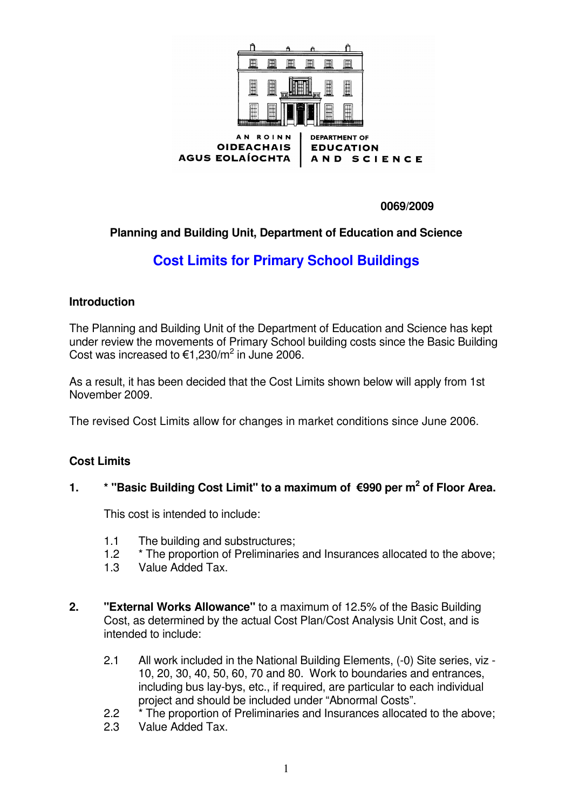

**0069/2009**

## **Planning and Building Unit, Department of Education and Science**

# **Cost Limits for Primary School Buildings**

#### **Introduction**

The Planning and Building Unit of the Department of Education and Science has kept under review the movements of Primary School building costs since the Basic Building Cost was increased to  $\epsilon$ 1,230/m<sup>2</sup> in June 2006.

As a result, it has been decided that the Cost Limits shown below will apply from 1st November 2009.

The revised Cost Limits allow for changes in market conditions since June 2006.

### **Cost Limits**

### **1. \* "Basic Building Cost Limit" to a maximum of 990 per m 2 of Floor Area.**

This cost is intended to include:

- 1.1 The building and substructures;
- 1.2 \* The proportion of Preliminaries and Insurances allocated to the above;
- 1.3 Value Added Tax.
- **2. "External Works Allowance"** to a maximum of 12.5% of the Basic Building Cost, as determined by the actual Cost Plan/Cost Analysis Unit Cost, and is intended to include:
	- 2.1 All work included in the National Building Elements, (-0) Site series, viz 10, 20, 30, 40, 50, 60, 70 and 80. Work to boundaries and entrances, including bus lay-bys, etc., if required, are particular to each individual project and should be included under "Abnormal Costs".
	- 2.2 \* The proportion of Preliminaries and Insurances allocated to the above;
	- 2.3 Value Added Tax.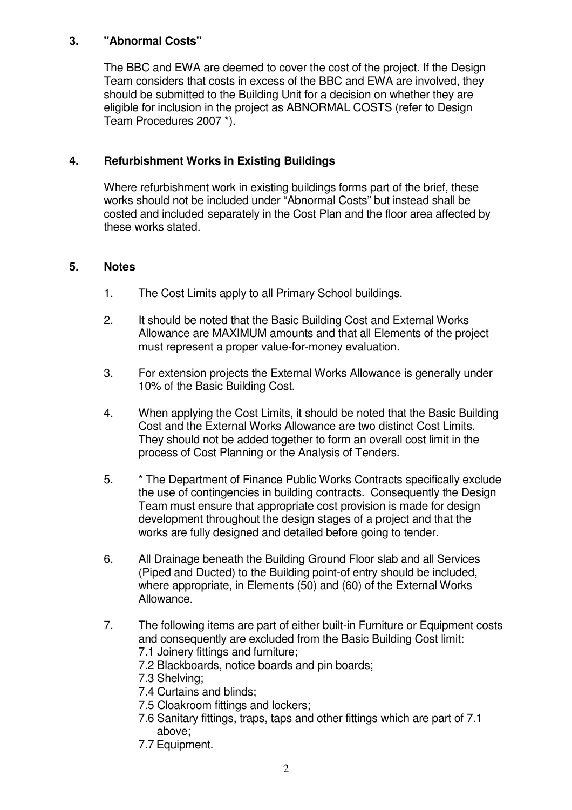#### **3. "Abnormal Costs"**

The BBC and EWA are deemed to cover the cost of the project. If the Design Team considers that costs in excess of the BBC and EWA are involved, they should be submitted to the Building Unit for a decision on whether they are eligible for inclusion in the project as ABNORMAL COSTS (refer to Design Team Procedures 2007 \*).

### **4. Refurbishment Works in Existing Buildings**

Where refurbishment work in existing buildings forms part of the brief, these works should not be included under "Abnormal Costs" but instead shall be costed and included separately in the Cost Plan and the floor area affected by these works stated.

#### **5. Notes**

- 1. The Cost Limits apply to all Primary School buildings.
- 2. It should be noted that the Basic Building Cost and External Works Allowance are MAXIMUM amounts and that all Elements of the project must represent a proper value-for-money evaluation.
- 3. For extension projects the External Works Allowance is generally under 10% of the Basic Building Cost.
- 4. When applying the Cost Limits, it should be noted that the Basic Building Cost and the External Works Allowance are two distinct Cost Limits. They should not be added together to form an overall cost limit in the process of Cost Planning or the Analysis of Tenders.
- 5. \* The Department of Finance Public Works Contracts specifically exclude the use of contingencies in building contracts. Consequently the Design Team must ensure that appropriate cost provision is made for design development throughout the design stages of a project and that the works are fully designed and detailed before going to tender.
- 6. All Drainage beneath the Building Ground Floor slab and all Services (Piped and Ducted) to the Building point-of entry should be included, where appropriate, in Elements (50) and (60) of the External Works Allowance.
- 7. The following items are part of either built-in Furniture or Equipment costs and consequently are excluded from the Basic Building Cost limit: 7.1 Joinery fittings and furniture;
	- 7.2 Blackboards, notice boards and pin boards;
	- 7.3 Shelving;
	- 7.4 Curtains and blinds;
	- 7.5 Cloakroom fittings and lockers;
	- 7.6 Sanitary fittings, traps, taps and other fittings which are part of 7.1 above;
	- 7.7 Equipment.